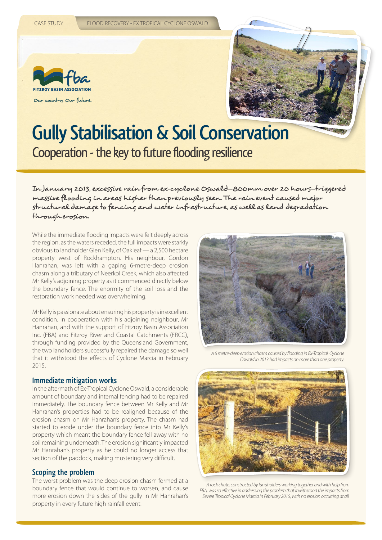



# **Gully Stabilisation & Soil Conservation** Cooperation - the key to future flooding resilience

In January 2013, excessive rain from ex-cyclone Oswald—800mm over 20 hours—triggered massive flooding in areas higher than previously seen. The rain event caused major structural damage to fencing and water infrastructure, as well as land degradation through erosion.

While the immediate flooding impacts were felt deeply across the region, as the waters receded, the full impacts were starkly obvious to landholder Glen Kelly, of Oakleaf — a 2,500 hectare property west of Rockhampton. His neighbour, Gordon Hanrahan, was left with a gaping 6-metre-deep erosion chasm along a tributary of Neerkol Creek, which also affected Mr Kelly's adjoining property as it commenced directly below the boundary fence. The enormity of the soil loss and the restoration work needed was overwhelming.

Mr Kelly is passionate about ensuring his property is in excellent condition. In cooperation with his adjoining neighbour, Mr Hanrahan, and with the support of Fitzroy Basin Association Inc. (FBA) and Fitzroy River and Coastal Catchments (FRCC), through funding provided by the Queensland Government, the two landholders successfully repaired the damage so well that it withstood the effects of Cyclone Marcia in February 2015.

#### **Immediate mitigation works**

In the aftermath of Ex-Tropical Cyclone Oswald, a considerable amount of boundary and internal fencing had to be repaired immediately. The boundary fence between Mr Kelly and Mr Hanrahan's properties had to be realigned because of the erosion chasm on Mr Hanrahan's property. The chasm had started to erode under the boundary fence into Mr Kelly's property which meant the boundary fence fell away with no soil remaining underneath. The erosion significantly impacted Mr Hanrahan's property as he could no longer access that section of the paddock, making mustering very difficult.

### **Scoping the problem**

The worst problem was the deep erosion chasm formed at a boundary fence that would continue to worsen, and cause more erosion down the sides of the gully in Mr Hanrahan's property in every future high rainfall event.



*A 6 metre-deep erosion chasm caused by flooding in Ex-Tropical Cyclone Oswald in 2013 had impacts on more than one property.*



*A rock chute, constructed by landholders working together and with help from FBA, was so effective in addressing the problem that it withstood the impacts from Severe Tropical Cyclone Marcia in February 2015, with no erosion occurring at all.*